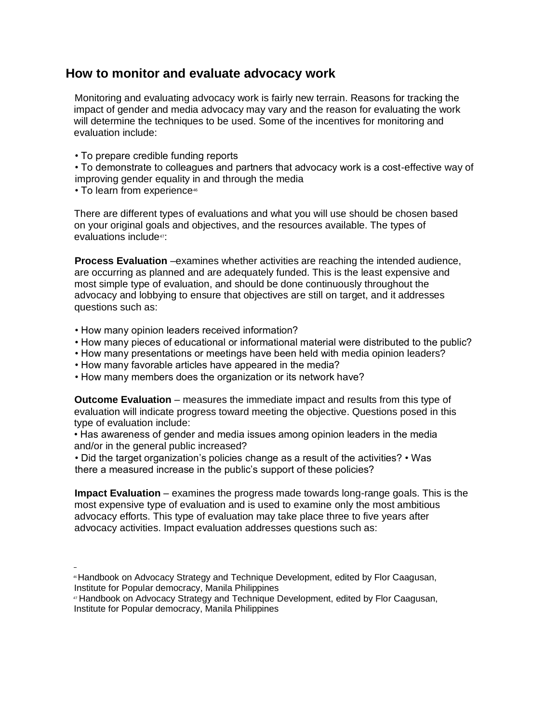# **How to monitor and evaluate advocacy work**

Monitoring and evaluating advocacy work is fairly new terrain. Reasons for tracking the impact of gender and media advocacy may vary and the reason for evaluating the work will determine the techniques to be used. Some of the incentives for monitoring and evaluation include:

• To prepare credible funding reports

• To demonstrate to colleagues and partners that advocacy work is a cost-effective way of improving gender equality in and through the media

• To learn from experience<sup>46</sup>

There are different types of evaluations and what you will use should be chosen based on your original goals and objectives, and the resources available. The types of evaluations include47:

**Process Evaluation** –examines whether activities are reaching the intended audience, are occurring as planned and are adequately funded. This is the least expensive and most simple type of evaluation, and should be done continuously throughout the advocacy and lobbying to ensure that objectives are still on target, and it addresses questions such as:

- How many opinion leaders received information?
- How many pieces of educational or informational material were distributed to the public?
- How many presentations or meetings have been held with media opinion leaders?
- How many favorable articles have appeared in the media?
- How many members does the organization or its network have?

**Outcome Evaluation** – measures the immediate impact and results from this type of evaluation will indicate progress toward meeting the objective. Questions posed in this type of evaluation include:

• Has awareness of gender and media issues among opinion leaders in the media and/or in the general public increased?

• Did the target organization's policies change as a result of the activities? • Was there a measured increase in the public's support of these policies?

**Impact Evaluation** – examines the progress made towards long-range goals. This is the most expensive type of evaluation and is used to examine only the most ambitious advocacy efforts. This type of evaluation may take place three to five years after advocacy activities. Impact evaluation addresses questions such as:

<sup>46</sup>Handbook on Advocacy Strategy and Technique Development, edited by Flor Caagusan, Institute for Popular democracy, Manila Philippines

<sup>47</sup> Handbook on Advocacy Strategy and Technique Development, edited by Flor Caagusan, Institute for Popular democracy, Manila Philippines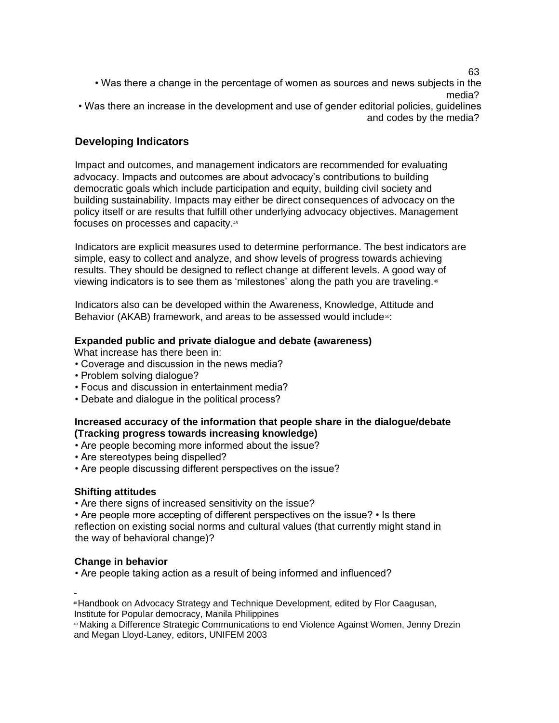63

• Was there a change in the percentage of women as sources and news subjects in the media? • Was there an increase in the development and use of gender editorial policies, guidelines

and codes by the media?

## **Developing Indicators**

Impact and outcomes, and management indicators are recommended for evaluating advocacy. Impacts and outcomes are about advocacy's contributions to building democratic goals which include participation and equity, building civil society and building sustainability. Impacts may either be direct consequences of advocacy on the policy itself or are results that fulfill other underlying advocacy objectives. Management focuses on processes and capacity.<sup>48</sup>

Indicators are explicit measures used to determine performance. The best indicators are simple, easy to collect and analyze, and show levels of progress towards achieving results. They should be designed to reflect change at different levels. A good way of viewing indicators is to see them as 'milestones' along the path you are traveling.<sup>49</sup>

Indicators also can be developed within the Awareness, Knowledge, Attitude and Behavior (AKAB) framework, and areas to be assessed would include<sup>50</sup>:

#### **Expanded public and private dialogue and debate (awareness)**

What increase has there been in:

- Coverage and discussion in the news media?
- Problem solving dialogue?
- Focus and discussion in entertainment media?
- Debate and dialogue in the political process?

#### **Increased accuracy of the information that people share in the dialogue/debate (Tracking progress towards increasing knowledge)**

• Are people becoming more informed about the issue?

- Are stereotypes being dispelled?
- Are people discussing different perspectives on the issue?

## **Shifting attitudes**

• Are there signs of increased sensitivity on the issue?

• Are people more accepting of different perspectives on the issue? • Is there reflection on existing social norms and cultural values (that currently might stand in the way of behavioral change)?

## **Change in behavior**

• Are people taking action as a result of being informed and influenced?

<sup>48</sup>Handbook on Advocacy Strategy and Technique Development, edited by Flor Caagusan, Institute for Popular democracy, Manila Philippines

<sup>49</sup> Making a Difference Strategic Communications to end Violence Against Women, Jenny Drezin and Megan Lloyd-Laney, editors, UNIFEM 2003